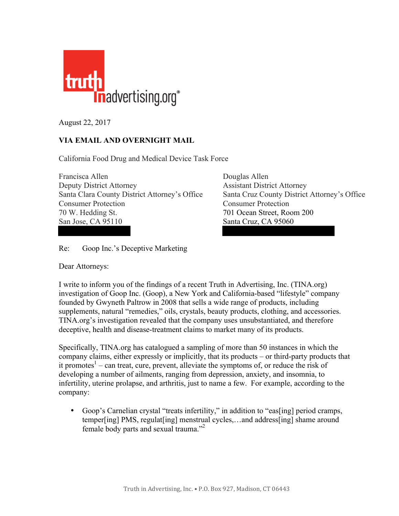

August 22, 2017

## **VIA EMAIL AND OVERNIGHT MAIL**

California Food Drug and Medical Device Task Force

Francisca Allen Douglas Allen Deputy District Attorney Assistant District Attorney Santa Clara County District Attorney's Office Santa Cruz County District Attorney's Office Consumer Protection Consumer Protection 70 W. Hedding St. 701 Ocean Street, Room 200 San Jose, CA 95110 Santa Cruz, CA 95060

Re: Goop Inc.'s Deceptive Marketing

Dear Attorneys:

I write to inform you of the findings of a recent Truth in Advertising, Inc. (TINA.org) investigation of Goop Inc. (Goop), a New York and California-based "lifestyle" company founded by Gwyneth Paltrow in 2008 that sells a wide range of products, including supplements, natural "remedies," oils, crystals, beauty products, clothing, and accessories. TINA.org's investigation revealed that the company uses unsubstantiated, and therefore deceptive, health and disease-treatment claims to market many of its products.

Specifically, TINA.org has catalogued a sampling of more than 50 instances in which the company claims, either expressly or implicitly, that its products – or third-party products that it promotes<sup>1</sup> – can treat, cure, prevent, alleviate the symptoms of, or reduce the risk of developing a number of ailments, ranging from depression, anxiety, and insomnia, to infertility, uterine prolapse, and arthritis, just to name a few. For example, according to the company:

• Goop's Carnelian crystal "treats infertility," in addition to "eas [ing] period cramps, temper[ing] PMS, regulat[ing] menstrual cycles,…and address[ing] shame around female body parts and sexual trauma."2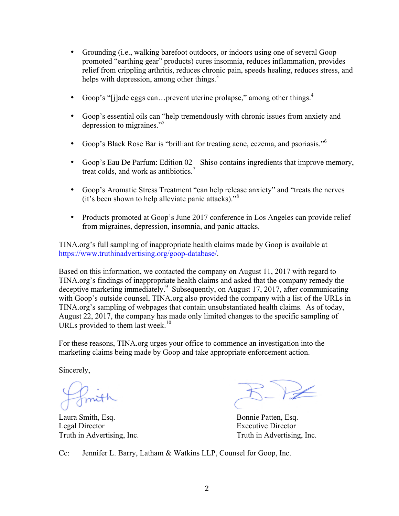- Grounding (i.e., walking barefoot outdoors, or indoors using one of several Goop promoted "earthing gear" products) cures insomnia, reduces inflammation, provides relief from crippling arthritis, reduces chronic pain, speeds healing, reduces stress, and helps with depression, among other things. $3$
- Goop's "[j]ade eggs can...prevent uterine prolapse," among other things. $4$
- Goop's essential oils can "help tremendously with chronic issues from anxiety and depression to migraines."<sup>5</sup>
- Goop's Black Rose Bar is "brilliant for treating acne, eczema, and psoriasis."<sup>6</sup>
- Goop's Eau De Parfum: Edition 02 Shiso contains ingredients that improve memory, treat colds, and work as antibiotics.<sup>7</sup>
- Goop's Aromatic Stress Treatment "can help release anxiety" and "treats the nerves (it's been shown to help alleviate panic attacks)." 8
- Products promoted at Goop's June 2017 conference in Los Angeles can provide relief from migraines, depression, insomnia, and panic attacks.

TINA.org's full sampling of inappropriate health claims made by Goop is available at [https://www.truthinadvertising.org/goop-database/.](https://www.truthinadvertising.org/goop-database/) 

Based on this information, we contacted the company on August 11, 2017 with regard to TINA.org's findings of inappropriate health claims and asked that the company remedy the deceptive marketing immediately.<sup>9</sup> Subsequently, on August 17, 2017, after communicating with Goop's outside counsel, TINA.org also provided the company with a list of the URLs in TINA.org's sampling of webpages that contain unsubstantiated health claims. As of today, August 22, 2017, the company has made only limited changes to the specific sampling of URLs provided to them last week.<sup>10</sup>

For these reasons, TINA.org urges your office to commence an investigation into the marketing claims being made by Goop and take appropriate enforcement action.

Sincerely,

Laura Smith, Esq. Bonnie Patten, Esq. Legal Director Executive Director Truth in Advertising, Inc. Truth in Advertising, Inc.

Cc: Jennifer L. Barry, Latham & Watkins LLP, Counsel for Goop, Inc.